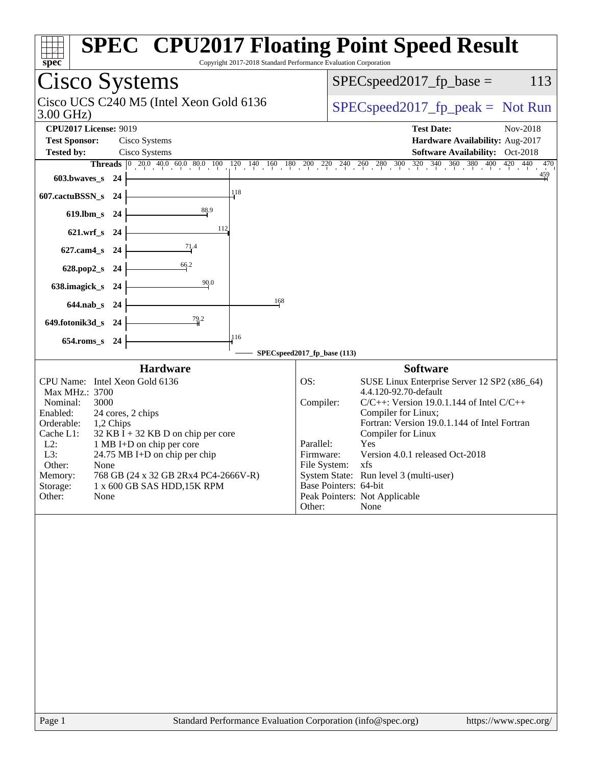| <b>Cisco Systems</b><br>$SPEC speed2017fp base =$<br>Cisco UCS C240 M5 (Intel Xeon Gold 6136<br>$SPEC speed2017fr peak = Not Run$<br>$3.00$ GHz)<br><b>CPU2017 License: 9019</b><br><b>Test Date:</b><br>Nov-2018<br><b>Test Sponsor:</b><br>Cisco Systems<br>Hardware Availability: Aug-2017<br>Software Availability: Oct-2018<br><b>Tested by:</b><br>Cisco Systems<br><b>Threads</b> $\begin{bmatrix} 0 & 20.0 & 40.0 & 60.0 & 80.0 & 100 & 120 & 140 & 160 & 180 & 200 & 220 & 240 & 260 & 280 & 300 & 320 & 340 & 360 & 380 & 400 & 420 & 440 \end{bmatrix}$<br>$\frac{459}{4}$<br>603.bwaves_s 24<br>118<br>607.cactuBSSN_s 24<br>88.9<br>619.lbm_s 24<br>112<br>$621.wrf$ <sub>S</sub><br>-24<br>71.4<br>$627$ .cam $4_s$<br>-24<br>66.2<br>628.pop2_s<br>- 24<br>90.0<br>638.imagick_s 24<br>168<br>644.nab_s 24<br>79.2<br>649.fotonik3d_s 24<br>116<br>$654$ .roms_s<br>- 24<br>SPECspeed2017_fp_base (113)<br><b>Hardware</b><br><b>Software</b><br>SUSE Linux Enterprise Server 12 SP2 (x86_64)<br>CPU Name: Intel Xeon Gold 6136<br>OS:<br>4.4.120-92.70-default<br>Max MHz.: 3700<br>Compiler:<br>$C/C++$ : Version 19.0.1.144 of Intel $C/C++$<br>Nominal:<br>3000<br>Compiler for Linux;<br>Enabled:<br>24 cores, 2 chips<br>Fortran: Version 19.0.1.144 of Intel Fortran<br>Orderable:<br>1,2 Chips<br>Compiler for Linux<br>Cache L1:<br>$32$ KB I + 32 KB D on chip per core<br>Yes<br>$L2$ :<br>1 MB I+D on chip per core<br>Parallel:<br>Version 4.0.1 released Oct-2018<br>L3:<br>24.75 MB I+D on chip per chip<br>Firmware:<br>File System: xfs<br>Other:<br>None<br>System State: Run level 3 (multi-user)<br>768 GB (24 x 32 GB 2Rx4 PC4-2666V-R)<br>Memory:<br>Base Pointers: 64-bit<br>Storage:<br>1 x 600 GB SAS HDD, 15K RPM<br>Peak Pointers: Not Applicable<br>Other:<br>None<br>Other:<br>None | Copyright 2017-2018 Standard Performance Evaluation Corporation<br>spec | <b>SPEC<sup>®</sup> CPU2017 Floating Point Speed Result</b> |
|---------------------------------------------------------------------------------------------------------------------------------------------------------------------------------------------------------------------------------------------------------------------------------------------------------------------------------------------------------------------------------------------------------------------------------------------------------------------------------------------------------------------------------------------------------------------------------------------------------------------------------------------------------------------------------------------------------------------------------------------------------------------------------------------------------------------------------------------------------------------------------------------------------------------------------------------------------------------------------------------------------------------------------------------------------------------------------------------------------------------------------------------------------------------------------------------------------------------------------------------------------------------------------------------------------------------------------------------------------------------------------------------------------------------------------------------------------------------------------------------------------------------------------------------------------------------------------------------------------------------------------------------------------------------------------------------------------------------------------------------------------------------------------------------------------------------------------|-------------------------------------------------------------------------|-------------------------------------------------------------|
|                                                                                                                                                                                                                                                                                                                                                                                                                                                                                                                                                                                                                                                                                                                                                                                                                                                                                                                                                                                                                                                                                                                                                                                                                                                                                                                                                                                                                                                                                                                                                                                                                                                                                                                                                                                                                                 |                                                                         | 113                                                         |
|                                                                                                                                                                                                                                                                                                                                                                                                                                                                                                                                                                                                                                                                                                                                                                                                                                                                                                                                                                                                                                                                                                                                                                                                                                                                                                                                                                                                                                                                                                                                                                                                                                                                                                                                                                                                                                 |                                                                         |                                                             |
|                                                                                                                                                                                                                                                                                                                                                                                                                                                                                                                                                                                                                                                                                                                                                                                                                                                                                                                                                                                                                                                                                                                                                                                                                                                                                                                                                                                                                                                                                                                                                                                                                                                                                                                                                                                                                                 |                                                                         |                                                             |
|                                                                                                                                                                                                                                                                                                                                                                                                                                                                                                                                                                                                                                                                                                                                                                                                                                                                                                                                                                                                                                                                                                                                                                                                                                                                                                                                                                                                                                                                                                                                                                                                                                                                                                                                                                                                                                 |                                                                         | 470                                                         |
|                                                                                                                                                                                                                                                                                                                                                                                                                                                                                                                                                                                                                                                                                                                                                                                                                                                                                                                                                                                                                                                                                                                                                                                                                                                                                                                                                                                                                                                                                                                                                                                                                                                                                                                                                                                                                                 |                                                                         |                                                             |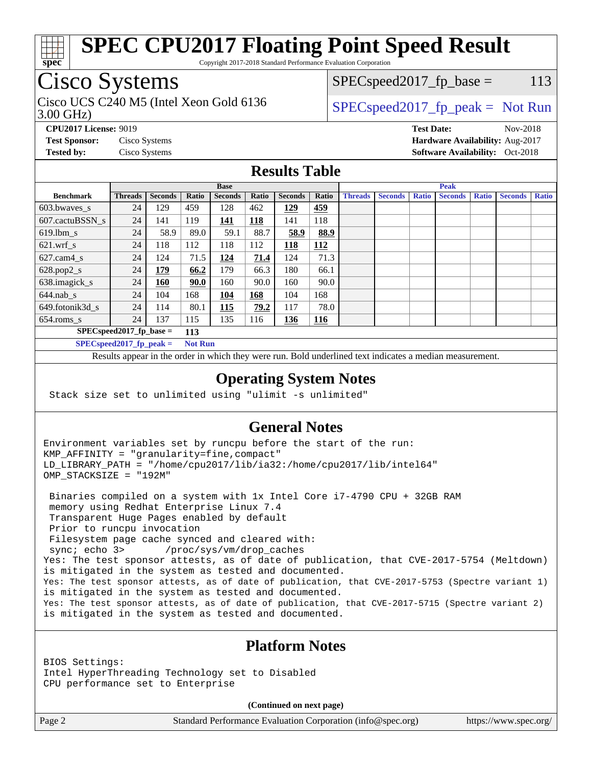

Copyright 2017-2018 Standard Performance Evaluation Corporation

## Cisco Systems

3.00 GHz) Cisco UCS C240 M5 (Intel Xeon Gold 6136  $\vert$  [SPECspeed2017\\_fp\\_peak =](http://www.spec.org/auto/cpu2017/Docs/result-fields.html#SPECspeed2017fppeak) Not Run

 $SPEC speed2017_fp\_base = 113$ 

**[CPU2017 License:](http://www.spec.org/auto/cpu2017/Docs/result-fields.html#CPU2017License)** 9019 **[Test Date:](http://www.spec.org/auto/cpu2017/Docs/result-fields.html#TestDate)** Nov-2018 **[Test Sponsor:](http://www.spec.org/auto/cpu2017/Docs/result-fields.html#TestSponsor)** Cisco Systems **[Hardware Availability:](http://www.spec.org/auto/cpu2017/Docs/result-fields.html#HardwareAvailability)** Aug-2017 **[Tested by:](http://www.spec.org/auto/cpu2017/Docs/result-fields.html#Testedby)** Cisco Systems **Cisco Systems [Software Availability:](http://www.spec.org/auto/cpu2017/Docs/result-fields.html#SoftwareAvailability)** Oct-2018

#### **[Results Table](http://www.spec.org/auto/cpu2017/Docs/result-fields.html#ResultsTable)**

|                            | <b>Base</b>    |                |                |                |            | <b>Peak</b>    |            |                |                |              |                |              |                |              |
|----------------------------|----------------|----------------|----------------|----------------|------------|----------------|------------|----------------|----------------|--------------|----------------|--------------|----------------|--------------|
| <b>Benchmark</b>           | <b>Threads</b> | <b>Seconds</b> | Ratio          | <b>Seconds</b> | Ratio      | <b>Seconds</b> | Ratio      | <b>Threads</b> | <b>Seconds</b> | <b>Ratio</b> | <b>Seconds</b> | <b>Ratio</b> | <b>Seconds</b> | <b>Ratio</b> |
| 603.bwayes s               | 24             | 129            | 459            | 128            | 462        | 129            | <u>459</u> |                |                |              |                |              |                |              |
| 607.cactuBSSN s            | 24             | 141            | 119            | 141            | <b>118</b> | 141            | 118        |                |                |              |                |              |                |              |
| $619.$ lbm_s               | 24             | 58.9           | 89.0           | 59.1           | 88.7       | 58.9           | 88.9       |                |                |              |                |              |                |              |
| $621.wrf$ s                | 24             | 118            | 112            | 118            | 112        | 118            | <u>112</u> |                |                |              |                |              |                |              |
| $627$ .cam $4 \text{ s}$   | 24             | 124            | 71.5           | 124            | 71.4       | 124            | 71.3       |                |                |              |                |              |                |              |
| $628.pop2_s$               | 24             | <u>179</u>     | 66.2           | 179            | 66.3       | 180            | 66.1       |                |                |              |                |              |                |              |
| 638.imagick_s              | 24             | <b>160</b>     | 90.0           | 160            | 90.0       | 160            | 90.0       |                |                |              |                |              |                |              |
| $644$ .nab s               | 24             | 104            | 168            | 104            | 168        | 104            | 168        |                |                |              |                |              |                |              |
| 649.fotonik3d s            | 24             | 114            | 80.1           | <b>115</b>     | 79.2       | 117            | 78.0       |                |                |              |                |              |                |              |
| $654$ .roms s              | 24             | 137            | 115            | 135            | 116        | 136            | <u>116</u> |                |                |              |                |              |                |              |
| $SPEC speed2017$ fp base = |                |                | 113            |                |            |                |            |                |                |              |                |              |                |              |
| $SPECspeed2017_fp\_peak =$ |                |                | <b>Not Run</b> |                |            |                |            |                |                |              |                |              |                |              |

Results appear in the [order in which they were run.](http://www.spec.org/auto/cpu2017/Docs/result-fields.html#RunOrder) Bold underlined text [indicates a median measurement](http://www.spec.org/auto/cpu2017/Docs/result-fields.html#Median).

#### **[Operating System Notes](http://www.spec.org/auto/cpu2017/Docs/result-fields.html#OperatingSystemNotes)**

Stack size set to unlimited using "ulimit -s unlimited"

#### **[General Notes](http://www.spec.org/auto/cpu2017/Docs/result-fields.html#GeneralNotes)**

Environment variables set by runcpu before the start of the run: KMP\_AFFINITY = "granularity=fine,compact" LD\_LIBRARY\_PATH = "/home/cpu2017/lib/ia32:/home/cpu2017/lib/intel64" OMP\_STACKSIZE = "192M"

 Binaries compiled on a system with 1x Intel Core i7-4790 CPU + 32GB RAM memory using Redhat Enterprise Linux 7.4 Transparent Huge Pages enabled by default Prior to runcpu invocation Filesystem page cache synced and cleared with: sync; echo 3> /proc/sys/vm/drop\_caches Yes: The test sponsor attests, as of date of publication, that CVE-2017-5754 (Meltdown) is mitigated in the system as tested and documented. Yes: The test sponsor attests, as of date of publication, that CVE-2017-5753 (Spectre variant 1) is mitigated in the system as tested and documented. Yes: The test sponsor attests, as of date of publication, that CVE-2017-5715 (Spectre variant 2) is mitigated in the system as tested and documented.

### **[Platform Notes](http://www.spec.org/auto/cpu2017/Docs/result-fields.html#PlatformNotes)**

BIOS Settings: Intel HyperThreading Technology set to Disabled CPU performance set to Enterprise

**(Continued on next page)**

Page 2 Standard Performance Evaluation Corporation [\(info@spec.org\)](mailto:info@spec.org) <https://www.spec.org/>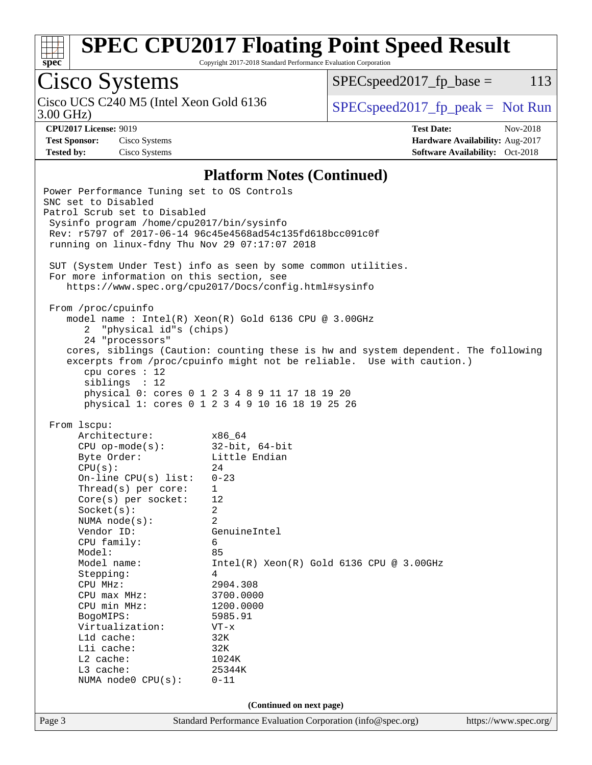

Copyright 2017-2018 Standard Performance Evaluation Corporation

# Cisco Systems

3.00 GHz) Cisco UCS C240 M5 (Intel Xeon Gold 6136  $\vert$  [SPECspeed2017\\_fp\\_peak =](http://www.spec.org/auto/cpu2017/Docs/result-fields.html#SPECspeed2017fppeak) Not Run

 $SPEC speed2017<sub>fp</sub> base = 113$ 

**[Test Sponsor:](http://www.spec.org/auto/cpu2017/Docs/result-fields.html#TestSponsor)** Cisco Systems **[Hardware Availability:](http://www.spec.org/auto/cpu2017/Docs/result-fields.html#HardwareAvailability)** Aug-2017

**[CPU2017 License:](http://www.spec.org/auto/cpu2017/Docs/result-fields.html#CPU2017License)** 9019 **[Test Date:](http://www.spec.org/auto/cpu2017/Docs/result-fields.html#TestDate)** Nov-2018 **[Tested by:](http://www.spec.org/auto/cpu2017/Docs/result-fields.html#Testedby)** Cisco Systems **[Software Availability:](http://www.spec.org/auto/cpu2017/Docs/result-fields.html#SoftwareAvailability)** Oct-2018

#### **[Platform Notes \(Continued\)](http://www.spec.org/auto/cpu2017/Docs/result-fields.html#PlatformNotes)**

Page 3 Standard Performance Evaluation Corporation [\(info@spec.org\)](mailto:info@spec.org) <https://www.spec.org/> Power Performance Tuning set to OS Controls SNC set to Disabled Patrol Scrub set to Disabled Sysinfo program /home/cpu2017/bin/sysinfo Rev: r5797 of 2017-06-14 96c45e4568ad54c135fd618bcc091c0f running on linux-fdny Thu Nov 29 07:17:07 2018 SUT (System Under Test) info as seen by some common utilities. For more information on this section, see <https://www.spec.org/cpu2017/Docs/config.html#sysinfo> From /proc/cpuinfo model name : Intel(R) Xeon(R) Gold 6136 CPU @ 3.00GHz 2 "physical id"s (chips) 24 "processors" cores, siblings (Caution: counting these is hw and system dependent. The following excerpts from /proc/cpuinfo might not be reliable. Use with caution.) cpu cores : 12 siblings : 12 physical 0: cores 0 1 2 3 4 8 9 11 17 18 19 20 physical 1: cores 0 1 2 3 4 9 10 16 18 19 25 26 From lscpu: Architecture: x86\_64 CPU op-mode(s): 32-bit, 64-bit Byte Order: Little Endian  $CPU(s):$  24 On-line CPU(s) list: 0-23 Thread(s) per core: 1 Core(s) per socket: 12 Socket(s): 2 NUMA node(s): 2 Vendor ID: GenuineIntel CPU family: 6 Model: 85 Model name: Intel(R) Xeon(R) Gold 6136 CPU @ 3.00GHz Stepping: 4 CPU MHz: 2904.308 CPU max MHz: 3700.0000 CPU min MHz: 1200.0000 BogoMIPS: 5985.91 Virtualization: VT-x L1d cache: 32K L1i cache: 32K L2 cache: 1024K L3 cache: 25344K NUMA node0 CPU(s): 0-11 **(Continued on next page)**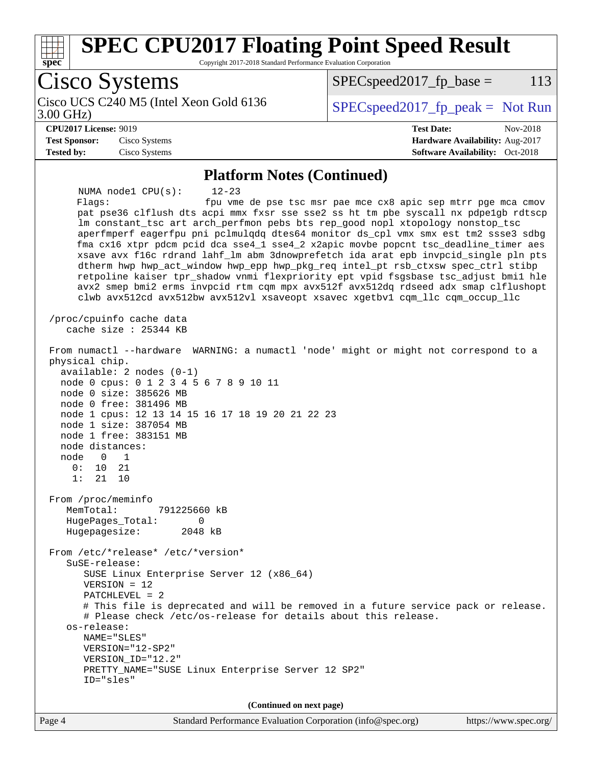

Copyright 2017-2018 Standard Performance Evaluation Corporation

Cisco Systems Cisco UCS C240 M5 (Intel Xeon Gold 6136<br>3.00 GHz)  $SPEC speed2017_fp\_peak = Not Run$  $SPEC speed2017<sub>fp</sub> base = 113$ **[CPU2017 License:](http://www.spec.org/auto/cpu2017/Docs/result-fields.html#CPU2017License)** 9019 **[Test Date:](http://www.spec.org/auto/cpu2017/Docs/result-fields.html#TestDate)** Nov-2018 **[Test Sponsor:](http://www.spec.org/auto/cpu2017/Docs/result-fields.html#TestSponsor)** Cisco Systems **[Hardware Availability:](http://www.spec.org/auto/cpu2017/Docs/result-fields.html#HardwareAvailability)** Aug-2017 **[Tested by:](http://www.spec.org/auto/cpu2017/Docs/result-fields.html#Testedby)** Cisco Systems **[Software Availability:](http://www.spec.org/auto/cpu2017/Docs/result-fields.html#SoftwareAvailability)** Oct-2018 **[Platform Notes \(Continued\)](http://www.spec.org/auto/cpu2017/Docs/result-fields.html#PlatformNotes)** NUMA node1 CPU(s): 12-23 Flags: fpu vme de pse tsc msr pae mce cx8 apic sep mtrr pge mca cmov pat pse36 clflush dts acpi mmx fxsr sse sse2 ss ht tm pbe syscall nx pdpe1gb rdtscp lm constant\_tsc art arch\_perfmon pebs bts rep\_good nopl xtopology nonstop\_tsc aperfmperf eagerfpu pni pclmulqdq dtes64 monitor ds\_cpl vmx smx est tm2 ssse3 sdbg fma cx16 xtpr pdcm pcid dca sse4\_1 sse4\_2 x2apic movbe popcnt tsc\_deadline\_timer aes xsave avx f16c rdrand lahf\_lm abm 3dnowprefetch ida arat epb invpcid\_single pln pts dtherm hwp hwp\_act\_window hwp\_epp hwp\_pkg\_req intel\_pt rsb\_ctxsw spec\_ctrl stibp retpoline kaiser tpr\_shadow vnmi flexpriority ept vpid fsgsbase tsc\_adjust bmi1 hle avx2 smep bmi2 erms invpcid rtm cqm mpx avx512f avx512dq rdseed adx smap clflushopt clwb avx512cd avx512bw avx512vl xsaveopt xsavec xgetbv1 cqm\_llc cqm\_occup\_llc /proc/cpuinfo cache data cache size : 25344 KB From numactl --hardware WARNING: a numactl 'node' might or might not correspond to a physical chip. available: 2 nodes (0-1) node 0 cpus: 0 1 2 3 4 5 6 7 8 9 10 11 node 0 size: 385626 MB node 0 free: 381496 MB node 1 cpus: 12 13 14 15 16 17 18 19 20 21 22 23 node 1 size: 387054 MB node 1 free: 383151 MB node distances: node 0 1 0: 10 21 1: 21 10 From /proc/meminfo MemTotal: 791225660 kB HugePages\_Total: 0 Hugepagesize: 2048 kB From /etc/\*release\* /etc/\*version\* SuSE-release: SUSE Linux Enterprise Server 12 (x86\_64) VERSION = 12 PATCHLEVEL = 2 # This file is deprecated and will be removed in a future service pack or release. # Please check /etc/os-release for details about this release. os-release: NAME="SLES" VERSION="12-SP2" VERSION\_ID="12.2" PRETTY\_NAME="SUSE Linux Enterprise Server 12 SP2" ID="sles" **(Continued on next page)**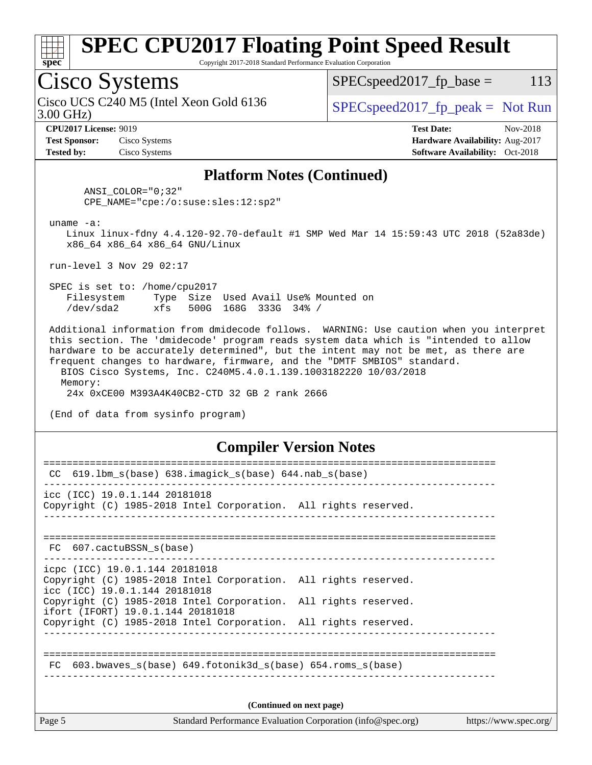

Copyright 2017-2018 Standard Performance Evaluation Corporation

## Cisco Systems

3.00 GHz) Cisco UCS C240 M5 (Intel Xeon Gold 6136  $\vert$  [SPECspeed2017\\_fp\\_peak =](http://www.spec.org/auto/cpu2017/Docs/result-fields.html#SPECspeed2017fppeak) Not Run

 $SPEC speed2017_fp\_base = 113$ 

**[Test Sponsor:](http://www.spec.org/auto/cpu2017/Docs/result-fields.html#TestSponsor)** Cisco Systems **[Hardware Availability:](http://www.spec.org/auto/cpu2017/Docs/result-fields.html#HardwareAvailability)** Aug-2017

**[CPU2017 License:](http://www.spec.org/auto/cpu2017/Docs/result-fields.html#CPU2017License)** 9019 **[Test Date:](http://www.spec.org/auto/cpu2017/Docs/result-fields.html#TestDate)** Nov-2018

**[Tested by:](http://www.spec.org/auto/cpu2017/Docs/result-fields.html#Testedby)** Cisco Systems **[Software Availability:](http://www.spec.org/auto/cpu2017/Docs/result-fields.html#SoftwareAvailability)** Oct-2018

#### **[Platform Notes \(Continued\)](http://www.spec.org/auto/cpu2017/Docs/result-fields.html#PlatformNotes)**

 ANSI\_COLOR="0;32" CPE\_NAME="cpe:/o:suse:sles:12:sp2"

uname -a:

 Linux linux-fdny 4.4.120-92.70-default #1 SMP Wed Mar 14 15:59:43 UTC 2018 (52a83de) x86\_64 x86\_64 x86\_64 GNU/Linux

run-level 3 Nov 29 02:17

 SPEC is set to: /home/cpu2017 Filesystem Type Size Used Avail Use% Mounted on /dev/sda2 xfs 500G 168G 333G 34% /

 Additional information from dmidecode follows. WARNING: Use caution when you interpret this section. The 'dmidecode' program reads system data which is "intended to allow hardware to be accurately determined", but the intent may not be met, as there are frequent changes to hardware, firmware, and the "DMTF SMBIOS" standard. BIOS Cisco Systems, Inc. C240M5.4.0.1.139.1003182220 10/03/2018

 Memory: 24x 0xCE00 M393A4K40CB2-CTD 32 GB 2 rank 2666

(End of data from sysinfo program)

#### **[Compiler Version Notes](http://www.spec.org/auto/cpu2017/Docs/result-fields.html#CompilerVersionNotes)**

| Page 5 | Standard Performance Evaluation Corporation (info@spec.org)<br>https://www.spec.org/                 |                          |  |  |  |
|--------|------------------------------------------------------------------------------------------------------|--------------------------|--|--|--|
|        |                                                                                                      | (Continued on next page) |  |  |  |
| FC     | 603.bwaves $s(base)$ 649.fotonik3d $s(base)$ 654.roms $s(base)$                                      |                          |  |  |  |
|        |                                                                                                      |                          |  |  |  |
|        | ifort (IFORT) 19.0.1.144 20181018<br>Copyright (C) 1985-2018 Intel Corporation. All rights reserved. |                          |  |  |  |
|        | icc (ICC) 19.0.1.144 20181018<br>Copyright (C) 1985-2018 Intel Corporation. All rights reserved.     |                          |  |  |  |
|        | icpc (ICC) 19.0.1.144 20181018<br>Copyright (C) 1985-2018 Intel Corporation. All rights reserved.    |                          |  |  |  |
|        | FC 607.cactuBSSN_s(base)                                                                             |                          |  |  |  |
|        |                                                                                                      |                          |  |  |  |
|        | Copyright (C) 1985-2018 Intel Corporation. All rights reserved.                                      |                          |  |  |  |
|        | icc (ICC) 19.0.1.144 20181018                                                                        |                          |  |  |  |
| CC.    | $619.1$ bm_s(base) $638.imagick_s(base)$ $644.nab_s(base)$                                           |                          |  |  |  |
|        |                                                                                                      |                          |  |  |  |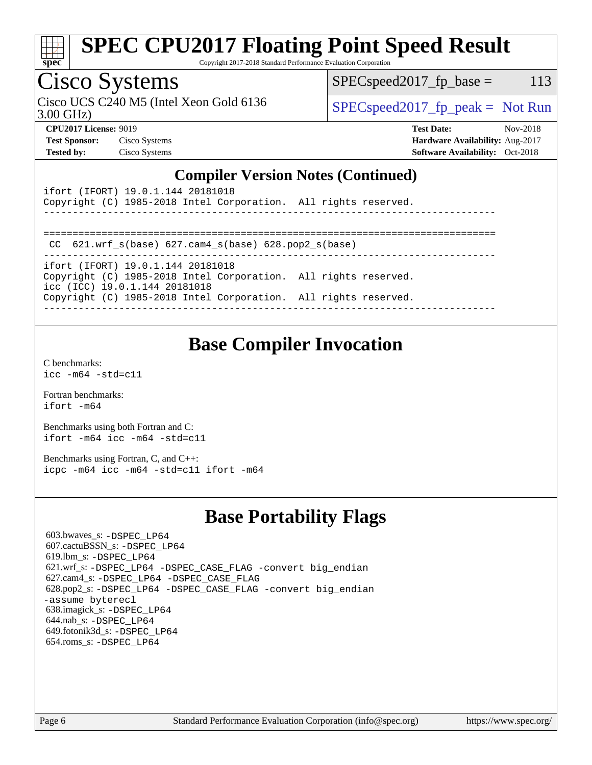

Copyright 2017-2018 Standard Performance Evaluation Corporation

## Cisco Systems

Cisco UCS C240 M5 (Intel Xeon Gold 6136  $\vert$  [SPECspeed2017\\_fp\\_peak =](http://www.spec.org/auto/cpu2017/Docs/result-fields.html#SPECspeed2017fppeak) Not Run

 $SPEC speed2017_fp\_base = 113$ 

3.00 GHz)

**[CPU2017 License:](http://www.spec.org/auto/cpu2017/Docs/result-fields.html#CPU2017License)** 9019 **[Test Date:](http://www.spec.org/auto/cpu2017/Docs/result-fields.html#TestDate)** Nov-2018 **[Test Sponsor:](http://www.spec.org/auto/cpu2017/Docs/result-fields.html#TestSponsor)** Cisco Systems **[Hardware Availability:](http://www.spec.org/auto/cpu2017/Docs/result-fields.html#HardwareAvailability)** Aug-2017 **[Tested by:](http://www.spec.org/auto/cpu2017/Docs/result-fields.html#Testedby)** Cisco Systems **[Software Availability:](http://www.spec.org/auto/cpu2017/Docs/result-fields.html#SoftwareAvailability)** Oct-2018

#### **[Compiler Version Notes \(Continued\)](http://www.spec.org/auto/cpu2017/Docs/result-fields.html#CompilerVersionNotes)**

| ifort (IFORT) 19.0.1.144 20181018<br>Copyright (C) 1985-2018 Intel Corporation. All rights reserved. |  |
|------------------------------------------------------------------------------------------------------|--|
|                                                                                                      |  |
| CC $621.$ wrf $s(base)$ $627.$ cam4 $s(base)$ $628.$ pop2 $s(base)$                                  |  |
| ifort (IFORT) 19.0.1.144 20181018                                                                    |  |
| Copyright (C) 1985-2018 Intel Corporation. All rights reserved.<br>icc (ICC) 19.0.1.144 20181018     |  |
| Copyright (C) 1985-2018 Intel Corporation. All rights reserved.                                      |  |

## **[Base Compiler Invocation](http://www.spec.org/auto/cpu2017/Docs/result-fields.html#BaseCompilerInvocation)**

[C benchmarks](http://www.spec.org/auto/cpu2017/Docs/result-fields.html#Cbenchmarks): [icc -m64 -std=c11](http://www.spec.org/cpu2017/results/res2018q4/cpu2017-20181211-10258.flags.html#user_CCbase_intel_icc_64bit_c11_33ee0cdaae7deeeab2a9725423ba97205ce30f63b9926c2519791662299b76a0318f32ddfffdc46587804de3178b4f9328c46fa7c2b0cd779d7a61945c91cd35)

[Fortran benchmarks](http://www.spec.org/auto/cpu2017/Docs/result-fields.html#Fortranbenchmarks): [ifort -m64](http://www.spec.org/cpu2017/results/res2018q4/cpu2017-20181211-10258.flags.html#user_FCbase_intel_ifort_64bit_24f2bb282fbaeffd6157abe4f878425411749daecae9a33200eee2bee2fe76f3b89351d69a8130dd5949958ce389cf37ff59a95e7a40d588e8d3a57e0c3fd751)

[Benchmarks using both Fortran and C](http://www.spec.org/auto/cpu2017/Docs/result-fields.html#BenchmarksusingbothFortranandC): [ifort -m64](http://www.spec.org/cpu2017/results/res2018q4/cpu2017-20181211-10258.flags.html#user_CC_FCbase_intel_ifort_64bit_24f2bb282fbaeffd6157abe4f878425411749daecae9a33200eee2bee2fe76f3b89351d69a8130dd5949958ce389cf37ff59a95e7a40d588e8d3a57e0c3fd751) [icc -m64 -std=c11](http://www.spec.org/cpu2017/results/res2018q4/cpu2017-20181211-10258.flags.html#user_CC_FCbase_intel_icc_64bit_c11_33ee0cdaae7deeeab2a9725423ba97205ce30f63b9926c2519791662299b76a0318f32ddfffdc46587804de3178b4f9328c46fa7c2b0cd779d7a61945c91cd35)

[Benchmarks using Fortran, C, and C++:](http://www.spec.org/auto/cpu2017/Docs/result-fields.html#BenchmarksusingFortranCandCXX) [icpc -m64](http://www.spec.org/cpu2017/results/res2018q4/cpu2017-20181211-10258.flags.html#user_CC_CXX_FCbase_intel_icpc_64bit_4ecb2543ae3f1412ef961e0650ca070fec7b7afdcd6ed48761b84423119d1bf6bdf5cad15b44d48e7256388bc77273b966e5eb805aefd121eb22e9299b2ec9d9) [icc -m64 -std=c11](http://www.spec.org/cpu2017/results/res2018q4/cpu2017-20181211-10258.flags.html#user_CC_CXX_FCbase_intel_icc_64bit_c11_33ee0cdaae7deeeab2a9725423ba97205ce30f63b9926c2519791662299b76a0318f32ddfffdc46587804de3178b4f9328c46fa7c2b0cd779d7a61945c91cd35) [ifort -m64](http://www.spec.org/cpu2017/results/res2018q4/cpu2017-20181211-10258.flags.html#user_CC_CXX_FCbase_intel_ifort_64bit_24f2bb282fbaeffd6157abe4f878425411749daecae9a33200eee2bee2fe76f3b89351d69a8130dd5949958ce389cf37ff59a95e7a40d588e8d3a57e0c3fd751)

### **[Base Portability Flags](http://www.spec.org/auto/cpu2017/Docs/result-fields.html#BasePortabilityFlags)**

 603.bwaves\_s: [-DSPEC\\_LP64](http://www.spec.org/cpu2017/results/res2018q4/cpu2017-20181211-10258.flags.html#suite_basePORTABILITY603_bwaves_s_DSPEC_LP64) 607.cactuBSSN\_s: [-DSPEC\\_LP64](http://www.spec.org/cpu2017/results/res2018q4/cpu2017-20181211-10258.flags.html#suite_basePORTABILITY607_cactuBSSN_s_DSPEC_LP64) 619.lbm\_s: [-DSPEC\\_LP64](http://www.spec.org/cpu2017/results/res2018q4/cpu2017-20181211-10258.flags.html#suite_basePORTABILITY619_lbm_s_DSPEC_LP64) 621.wrf\_s: [-DSPEC\\_LP64](http://www.spec.org/cpu2017/results/res2018q4/cpu2017-20181211-10258.flags.html#suite_basePORTABILITY621_wrf_s_DSPEC_LP64) [-DSPEC\\_CASE\\_FLAG](http://www.spec.org/cpu2017/results/res2018q4/cpu2017-20181211-10258.flags.html#b621.wrf_s_baseCPORTABILITY_DSPEC_CASE_FLAG) [-convert big\\_endian](http://www.spec.org/cpu2017/results/res2018q4/cpu2017-20181211-10258.flags.html#user_baseFPORTABILITY621_wrf_s_convert_big_endian_c3194028bc08c63ac5d04de18c48ce6d347e4e562e8892b8bdbdc0214820426deb8554edfa529a3fb25a586e65a3d812c835984020483e7e73212c4d31a38223) 627.cam4\_s: [-DSPEC\\_LP64](http://www.spec.org/cpu2017/results/res2018q4/cpu2017-20181211-10258.flags.html#suite_basePORTABILITY627_cam4_s_DSPEC_LP64) [-DSPEC\\_CASE\\_FLAG](http://www.spec.org/cpu2017/results/res2018q4/cpu2017-20181211-10258.flags.html#b627.cam4_s_baseCPORTABILITY_DSPEC_CASE_FLAG) 628.pop2\_s: [-DSPEC\\_LP64](http://www.spec.org/cpu2017/results/res2018q4/cpu2017-20181211-10258.flags.html#suite_basePORTABILITY628_pop2_s_DSPEC_LP64) [-DSPEC\\_CASE\\_FLAG](http://www.spec.org/cpu2017/results/res2018q4/cpu2017-20181211-10258.flags.html#b628.pop2_s_baseCPORTABILITY_DSPEC_CASE_FLAG) [-convert big\\_endian](http://www.spec.org/cpu2017/results/res2018q4/cpu2017-20181211-10258.flags.html#user_baseFPORTABILITY628_pop2_s_convert_big_endian_c3194028bc08c63ac5d04de18c48ce6d347e4e562e8892b8bdbdc0214820426deb8554edfa529a3fb25a586e65a3d812c835984020483e7e73212c4d31a38223) [-assume byterecl](http://www.spec.org/cpu2017/results/res2018q4/cpu2017-20181211-10258.flags.html#user_baseFPORTABILITY628_pop2_s_assume_byterecl_7e47d18b9513cf18525430bbf0f2177aa9bf368bc7a059c09b2c06a34b53bd3447c950d3f8d6c70e3faf3a05c8557d66a5798b567902e8849adc142926523472) 638.imagick\_s: [-DSPEC\\_LP64](http://www.spec.org/cpu2017/results/res2018q4/cpu2017-20181211-10258.flags.html#suite_basePORTABILITY638_imagick_s_DSPEC_LP64) 644.nab\_s: [-DSPEC\\_LP64](http://www.spec.org/cpu2017/results/res2018q4/cpu2017-20181211-10258.flags.html#suite_basePORTABILITY644_nab_s_DSPEC_LP64) 649.fotonik3d\_s: [-DSPEC\\_LP64](http://www.spec.org/cpu2017/results/res2018q4/cpu2017-20181211-10258.flags.html#suite_basePORTABILITY649_fotonik3d_s_DSPEC_LP64) 654.roms\_s: [-DSPEC\\_LP64](http://www.spec.org/cpu2017/results/res2018q4/cpu2017-20181211-10258.flags.html#suite_basePORTABILITY654_roms_s_DSPEC_LP64)